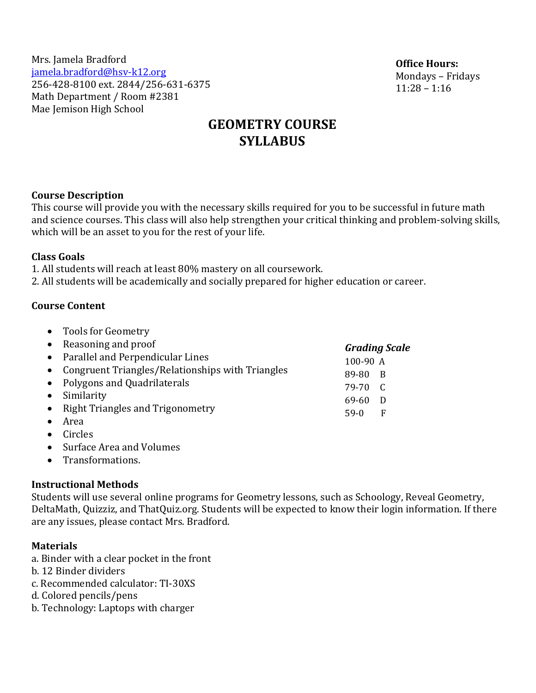| Mrs. Jamela Bradford                |
|-------------------------------------|
| jamela.bradford@hsv-k12.org         |
| 256-428-8100 ext. 2844/256-631-6375 |
| Math Department / Room #2381        |
| Mae Jemison High School             |

**Office Hours:** Mondays – Fridays 11:28 – 1:16

# **GEOMETRY COURSE SYLLABUS**

#### **Course Description**

This course will provide you with the necessary skills required for you to be successful in future math and science courses. This class will also help strengthen your critical thinking and problem-solving skills, which will be an asset to you for the rest of your life.

#### **Class Goals**

1. All students will reach at least 80% mastery on all coursework. 2. All students will be academically and socially prepared for higher education or career.

#### **Course Content**

- Tools for Geometry • Reasoning and proof • Parallel and Perpendicular Lines • Congruent Triangles/Relationships with Triangles • Polygons and Quadrilaterals • Similarity • Right Triangles and Trigonometry • Area *Grading Scale*  100-90 A 89-80 B 79-70 C 69-60 D 59-0 F
- Circles
- Surface Area and Volumes
- Transformations.

## **Instructional Methods**

Students will use several online programs for Geometry lessons, such as Schoology, Reveal Geometry, DeltaMath, Quizziz, and ThatQuiz.org. Students will be expected to know their login information. If there are any issues, please contact Mrs. Bradford.

## **Materials**

- a. Binder with a clear pocket in the front
- b. 12 Binder dividers
- c. Recommended calculator: TI-30XS
- d. Colored pencils/pens
- b. Technology: Laptops with charger